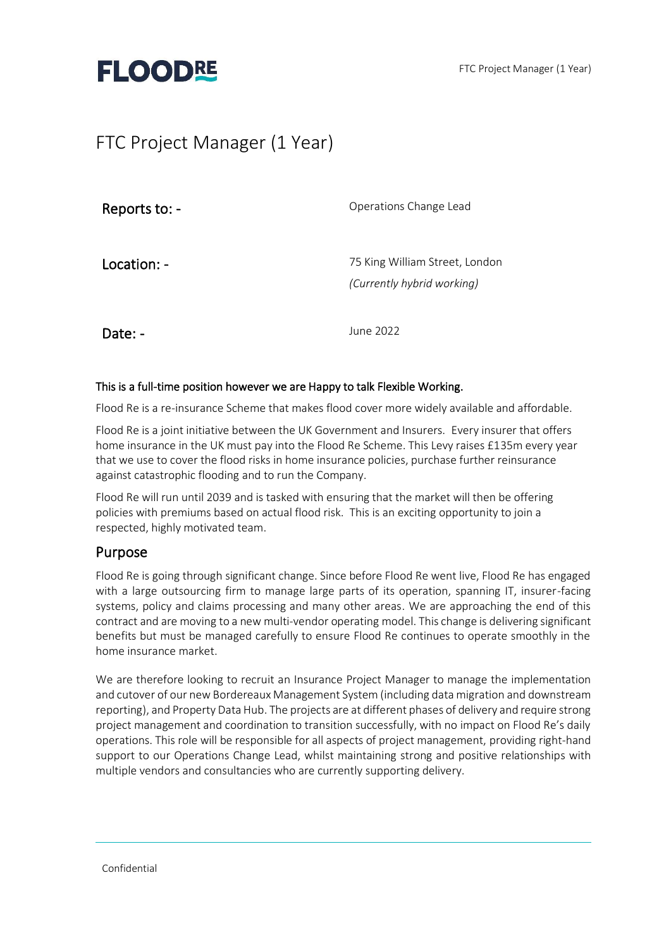

# FTC Project Manager (1 Year)

| Reports to: - | Operations Change Lead                                       |
|---------------|--------------------------------------------------------------|
| Location: -   | 75 King William Street, London<br>(Currently hybrid working) |
| Date: -       | June 2022                                                    |

#### This is a full-time position however we are Happy to talk Flexible Working.

Flood Re is a re-insurance Scheme that makes flood cover more widely available and affordable.

Flood Re is a joint initiative between the UK Government and Insurers. Every insurer that offers home insurance in the UK must pay into the Flood Re Scheme. This Levy raises £135m every year that we use to cover the flood risks in home insurance policies, purchase further reinsurance against catastrophic flooding and to run the Company.

Flood Re will run until 2039 and is tasked with ensuring that the market will then be offering policies with premiums based on actual flood risk. This is an exciting opportunity to join a respected, highly motivated team.

#### Purpose

Flood Re is going through significant change. Since before Flood Re went live, Flood Re has engaged with a large outsourcing firm to manage large parts of its operation, spanning IT, insurer-facing systems, policy and claims processing and many other areas. We are approaching the end of this contract and are moving to a new multi-vendor operating model. This change is delivering significant benefits but must be managed carefully to ensure Flood Re continues to operate smoothly in the home insurance market.

We are therefore looking to recruit an Insurance Project Manager to manage the implementation and cutover of our new Bordereaux Management System (including data migration and downstream reporting), and Property Data Hub. The projects are at different phases of delivery and require strong project management and coordination to transition successfully, with no impact on Flood Re's daily operations. This role will be responsible for all aspects of project management, providing right-hand support to our Operations Change Lead, whilst maintaining strong and positive relationships with multiple vendors and consultancies who are currently supporting delivery.

Confidential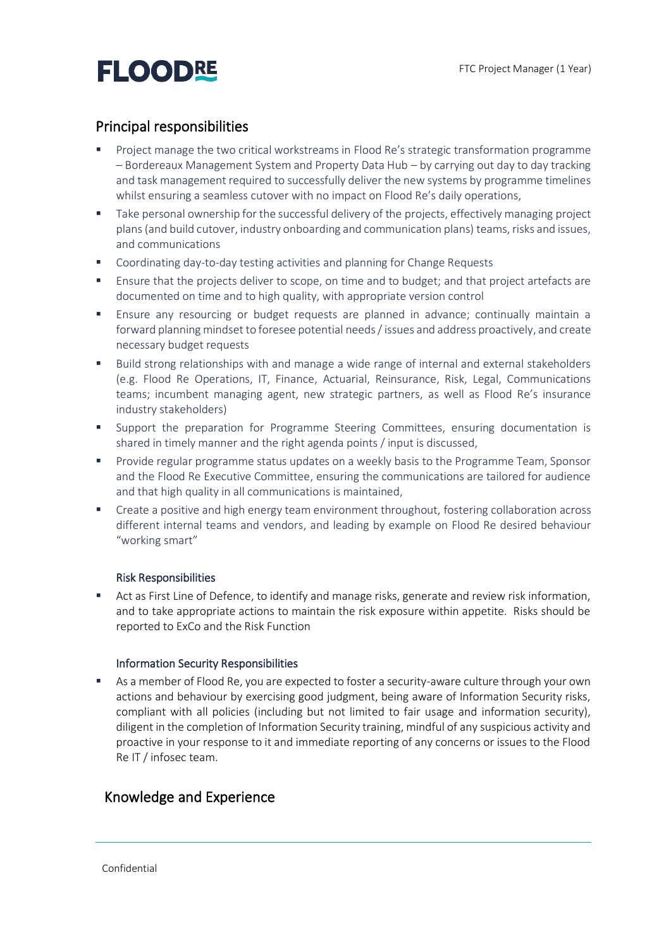# **FLOODRE**

### Principal responsibilities

- Project manage the two critical workstreams in Flood Re's strategic transformation programme – Bordereaux Management System and Property Data Hub – by carrying out day to day tracking and task management required to successfully deliver the new systems by programme timelines whilst ensuring a seamless cutover with no impact on Flood Re's daily operations,
- Take personal ownership for the successful delivery of the projects, effectively managing project plans(and build cutover, industry onboarding and communication plans) teams, risks and issues, and communications
- Coordinating day-to-day testing activities and planning for Change Requests
- Ensure that the projects deliver to scope, on time and to budget; and that project artefacts are documented on time and to high quality, with appropriate version control
- **E** Ensure any resourcing or budget requests are planned in advance; continually maintain a forward planning mindset to foresee potential needs / issues and address proactively, and create necessary budget requests
- Build strong relationships with and manage a wide range of internal and external stakeholders (e.g. Flood Re Operations, IT, Finance, Actuarial, Reinsurance, Risk, Legal, Communications teams; incumbent managing agent, new strategic partners, as well as Flood Re's insurance industry stakeholders)
- **•** Support the preparation for Programme Steering Committees, ensuring documentation is shared in timely manner and the right agenda points / input is discussed,
- **Provide regular programme status updates on a weekly basis to the Programme Team, Sponsor** and the Flood Re Executive Committee, ensuring the communications are tailored for audience and that high quality in all communications is maintained,
- Create a positive and high energy team environment throughout, fostering collaboration across different internal teams and vendors, and leading by example on Flood Re desired behaviour "working smart"

#### Risk Responsibilities

■ Act as First Line of Defence, to identify and manage risks, generate and review risk information, and to take appropriate actions to maintain the risk exposure within appetite. Risks should be reported to ExCo and the Risk Function

#### Information Security Responsibilities

**EXECT** As a member of Flood Re, you are expected to foster a security-aware culture through your own actions and behaviour by exercising good judgment, being aware of Information Security risks, compliant with all policies (including but not limited to fair usage and information security), diligent in the completion of Information Security training, mindful of any suspicious activity and proactive in your response to it and immediate reporting of any concerns or issues to the Flood Re IT / infosec team.

### Knowledge and Experience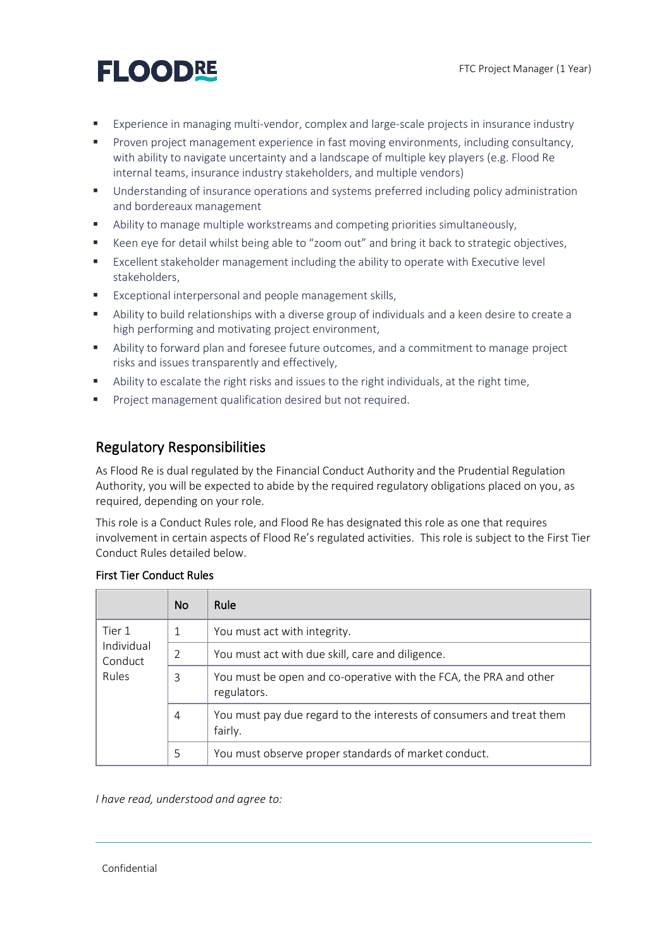# **FLOODRE**

- Experience in managing multi-vendor, complex and large-scale projects in insurance industry
- **•** Proven project management experience in fast moving environments, including consultancy, with ability to navigate uncertainty and a landscape of multiple key players (e.g. Flood Re internal teams, insurance industry stakeholders, and multiple vendors)
- Understanding of insurance operations and systems preferred including policy administration and bordereaux management
- Ability to manage multiple workstreams and competing priorities simultaneously,
- Keen eye for detail whilst being able to "zoom out" and bring it back to strategic objectives,
- Excellent stakeholder management including the ability to operate with Executive level stakeholders,
- Exceptional interpersonal and people management skills,
- Ability to build relationships with a diverse group of individuals and a keen desire to create a high performing and motivating project environment,
- Ability to forward plan and foresee future outcomes, and a commitment to manage project risks and issues transparently and effectively,
- Ability to escalate the right risks and issues to the right individuals, at the right time,
- Project management qualification desired but not required.

## Regulatory Responsibilities

As Flood Re is dual regulated by the Financial Conduct Authority and the Prudential Regulation Authority, you will be expected to abide by the required regulatory obligations placed on you, as required, depending on your role.

This role is a Conduct Rules role, and Flood Re has designated this role as one that requires involvement in certain aspects of Flood Re's regulated activities. This role is subject to the First Tier Conduct Rules detailed below.

|                                                 | <b>No</b> | Rule                                                                             |
|-------------------------------------------------|-----------|----------------------------------------------------------------------------------|
| Tier 1<br>Individual<br>Conduct<br><b>Rules</b> | 1         | You must act with integrity.                                                     |
|                                                 | 2         | You must act with due skill, care and diligence.                                 |
|                                                 | 3         | You must be open and co-operative with the FCA, the PRA and other<br>regulators. |
|                                                 | 4         | You must pay due regard to the interests of consumers and treat them<br>fairly.  |
|                                                 | 5         | You must observe proper standards of market conduct.                             |

#### First Tier Conduct Rules

*I have read, understood and agree to:*

Confidential